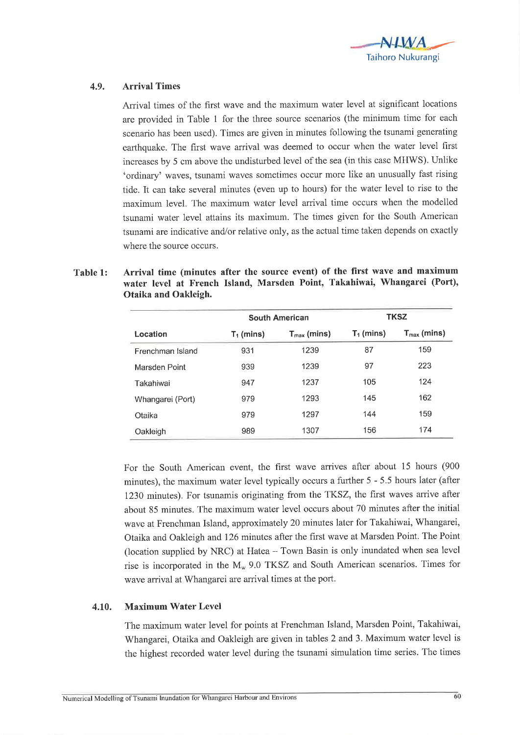

## 4.9. Arrival Times

Arrival times of the first wave and the maximum water level at significant locations are provided in Table 1 for the three source scenarios (the minimum time for each scenario has been used). Times are given in minutes following the tsunami generating earthquake. The first wave arrival was deemed to occur when the water level first increases by 5 cm above the undisturbed level of the sea (in this case MHWS). Unlike 'ordinary' waves, tsunami waves sometimes occur more like an unusually fast rising tide. It can take several minutes (even up to hours) for the water level to rise to the maximum level. The maximum water level arrival time occurs when the modelled tsunami water level attains its maximum. The times given for the South American tsunami are indicative and/or relative only, as the actual time taken depends on exactly where the source occurs.

| Table 1: | Arrival time (minutes after the source event) of the first wave and maximum |
|----------|-----------------------------------------------------------------------------|
|          | water level at French Island, Marsden Point, Takahiwai, Whangarei (Port),   |
|          | Otaika and Oakleigh.                                                        |

|                  |              | <b>South American</b>   | <b>TKSZ</b>  |                         |  |
|------------------|--------------|-------------------------|--------------|-------------------------|--|
| Location         | $T_1$ (mins) | $T_{\text{max}}$ (mins) | $T_1$ (mins) | $T_{\text{max}}$ (mins) |  |
| Frenchman Island | 931          | 1239                    | 87           | 159                     |  |
| Marsden Point    | 939          | 1239                    | 97           | 223                     |  |
| Takahiwai        | 947          | 1237                    | 105          | 124                     |  |
| Whangarei (Port) | 979          | 1293                    | 145          | 162                     |  |
| Otaika           | 979          | 1297                    | 144          | 159                     |  |
| Oakleigh         | 989          | 1307                    | 156          | 174                     |  |

For the South American event, the first wave arrives after about 15 hours (900 minutes), the maximum water level typically occurs a further 5 - 5.5 hours later (after 1230 minutes). For tsunamis originating from the TKSZ, the first waves arrive after about 85 minutes. The maximum water level occurs about 70 minutes after the initial wave at Frenchman Island, approximately 20 minutes later for Takahiwai, Whangarei, Otaika and Oakleigh and 126 minutes after the first wave at Marsden Point. The Point (location supplied by NRC) at Hatea  $-$  Town Basin is only inundated when sea level rise is incorporated in the  $M_w$  9.0 TKSZ and South American scenarios. Times for wave arrival at Whangarei are arrival times at the port.

## 4.10. Maximum Water Level

The maximum water level for points at Frenchman Island, Marsden Point, Takahiwai, Whangarei, Otaika and Oakleigh are given in tables 2 and 3. Maximum water level is the highest recorded water level during the tsunami simulation time series. The times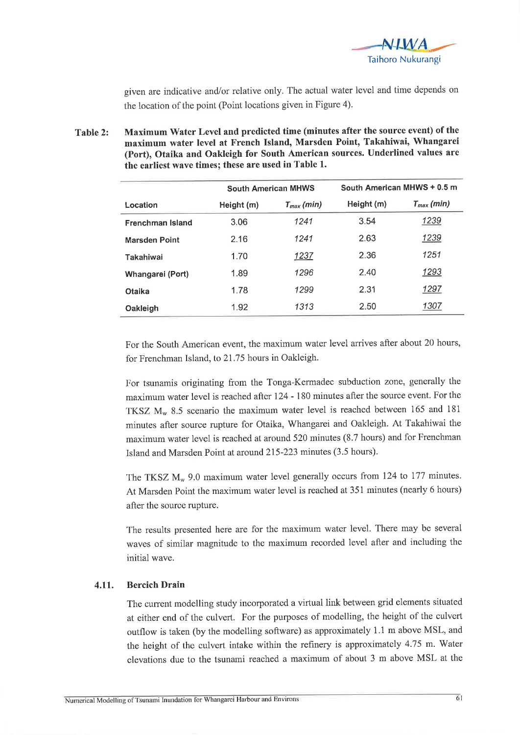

given are indicative and/or relative only. The actual water level and time depends on the location of the point (Point locations given in Figure 4).

Table 2: Maximum Water Level and predicted time (minutes after the source event) of the maximum water level at French Island, Marsden Point, Takahiwai, Whangarei (Port), Otaika and Oakleigh for South American sources. Underlined values are the earliest wave times; these are used in Table 1.

|                      | <b>South American MHWS</b> |                | South American MHWS + 0.5 m |                |  |  |
|----------------------|----------------------------|----------------|-----------------------------|----------------|--|--|
| Location             | Height (m)                 | $T_{max}(min)$ | Height (m)                  | $T_{max}(min)$ |  |  |
| Frenchman Island     | 3.06                       | 1241           | 3.54                        | 1239           |  |  |
| <b>Marsden Point</b> | 2.16                       | 1241           | 2.63                        | 1239           |  |  |
| Takahiwai            | 1.70                       | <u> 1237 </u>  | 2.36                        | 1251           |  |  |
| Whangarei (Port)     | 1.89                       | 1296           | 2.40                        | 1293           |  |  |
| Otaika               | 1.78                       | 1299           | 2.31                        | 1297           |  |  |
| Oakleigh             | 1.92                       | 1313           | 2.50                        | 1307           |  |  |

For the South American event, the maximum water level arrives after about 20 hours, for Frenchman Island, to 21.75 hours in Oakleigh.

For tsunamis originating from the Tonga-Kermadec subduction zone, generally the maximum water level is reached after 124 - 180 minutes after the source event. For the TKSZ  $M_w$  8.5 scenario the maximum water level is reached between 165 and 181 minutes after source rupture for Otaika, Whangarei and Oakleigh. At Takahiwai the maximum water level is reached at around 520 minutes (8.7 hours) and for Frenchman Island and Marsden Point at around 215-223 minutes (3.5 hours).

The TKSZ  $M_w$  9.0 maximum water level generally occurs from 124 to 177 minutes. At Marsden Point the maximum water level is reached at 351 minutes (nearly 6 hours) after the source rupture.

The results presented here are for the maximum water level. There may be several waves of similar magnitude to the maximum recorded level after and including the initial wave.

## 4.11. Bercich Drain

The current modelling study incorporated a virtual link between grid elements situated at either end of the culvert. For the purposes of modelling, the height of the culvert outflow is taken (by the modelling software) as approximately 1.1 m above MSL, and the height of the culvert intake within the refinery is approximately 4.75 m. Water elevations due to the tsunami reached a maximum of about 3 m above MSL at the